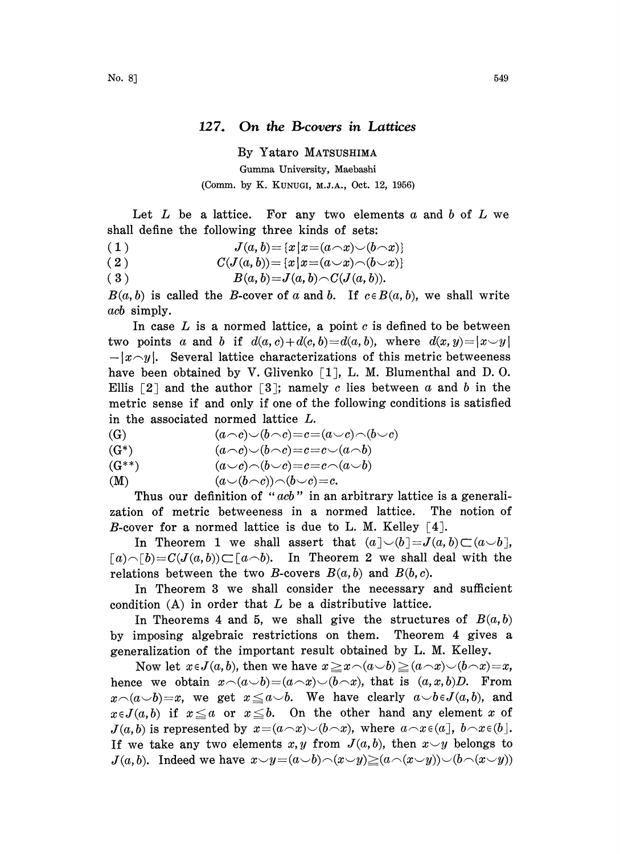## 127. On the B-covers in Lattices

By Yataro MATSUSHIMA Gumma University, Maebashi (Comm. by K. KUNUGI, M.J.A., Oct. 12, 1956)

Let  $L$  be a lattice. For any two elements  $a$  and  $b$  of  $L$  we shall define the following three kinds of sets:

 $J(a, b)$   $=$   $\{x \,|\, x$   $=$   $(a \! \smallfrown\! x) \! \smallsmile\! (b \! \smallfrown\! x)\}$ 

(2) 
$$
C(J(a,b)) = \{x \mid x = (a \cup x) \land (b \cup x)\}
$$

$$
(3) \t B(a,b)=J(a,b)\frown C(J(a,b)).
$$

 $B(a, b)$  is called the B-cover of a and b. If  $c \in B(a, b)$ , we shall write acb simply.

In case  $L$  is a normed lattice, a point  $c$  is defined to be between two points a and b if  $d(a, c) + d(c, b) = d(a, b)$ , where  $d(x, y) = |x \ y|$  $-|x\gamma|$ . Several lattice characterizations of this metric betweeness have been obtained by V. Glivenko  $\lceil 1 \rceil$ , L. M. Blumenthal and D. O. Ellis  $[2]$  and the author  $[3]$ ; namely c lies between a and b in the metric sense if and only if one of the following conditions is satisfied

in the associated normed lattice L.  
(G) 
$$
(a \neg c) \neg (b \neg c) = c = (a \neg c) \neg (b \neg c)
$$

$$
(G^*)\qquad \qquad (a\!\frown\! c)\!\smile\!(b\!\frown\! c)\!=\!c\!=\!c\!\smile\!(a\!\frown\!b)
$$

$$
(G^{**}) \qquad \qquad (a \cup c) \cap (b \cup c) = c = c \cap (a \cup b)
$$

$$
(M) \qquad \qquad (a \cup (b \cap c)) \cap (b \cup c) = c.
$$

Thus our definition of " $acb$ " in an arbitrary lattice is a generalization of metric betweeness in a normed lattice. The notion of B-cover for a normed lattice is due to L. M. Kelley  $\lceil 4 \rceil$ .

In Theorem 1 we shall assert that  $(a\llbracket\cup(b\llbracket=J(a,b)\subset(a\smile b),$  $[a) \frown [b] = C(J(a, b)) \frown [a \frown b).$  In Theorem 2 we shall deal with the relations between the two B-covers  $B(a, b)$  and  $B(b, c)$ .

In Theorem 3 we shall consider the necessary and sufficient condition  $(A)$  in order that  $L$  be a distributive lattice.

In Theorems 4 and 5, we shall give the structures of  $B(a,b)$ by imposing algebraic restrictions on them. Theorem 4 gives a generalization of the important result obtained by L. M. Kelley.

Now let  $x \in J(a, b)$ , then we have  $x \geq x \setminus (a \cup b) \geq (a \setminus x) \setminus (b \setminus x) = x$ , hence we obtain  $x\cap(a\smile b)=(a\mathtt{\frown} x)\smile(b\mathtt{\frown} x)$ , that is  $(a, x, b)D$ . From  $x\cap(a\cup b)=x$ , we get  $x\leq a\cup b$ . We have clearly  $a\cup b\in J(a,b)$ , and  $x \in J(a,b)$  if  $x \le a$  or  $x \le b$ . On the other hand any element x of  $J(a,b)$  is represented by  $x=(a\wedge x)\vee(b\wedge x)$ , where  $a\wedge x\in(a], b\wedge x\in(b].$ If we take any two elements x, y from  $J(a, b)$ , then  $x \smile y$  belongs to  $J(a,b)$ . Indeed we have  $x \rightarrow y=(a \rightarrow b)\land(x \rightarrow y)\geq(a \land(x \rightarrow y))\lor(b \land(x \rightarrow y))$ .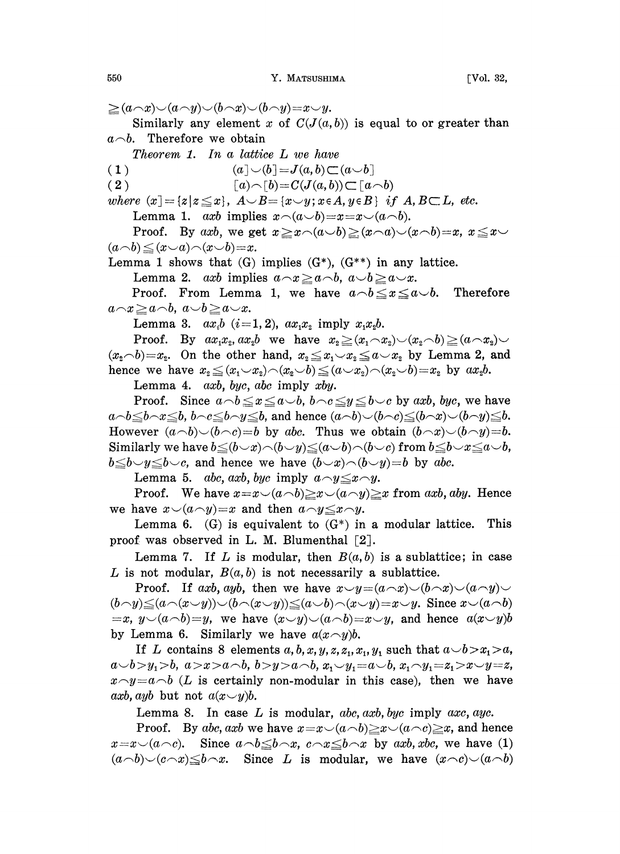$\geq (a \wedge x) \vee (a \wedge y) \vee (b \wedge x) \vee (b \wedge y) = x \vee y.$ Similarly any element x of  $C(J(a, b))$  is equal to or greater than  $a \neg b$ . Therefore we obtain Theorem 1. In a lattice L we have (1)  $(a] \cup (b] = J(a,b) \subset (a \cup b)$ 

( 2 )  $[a) \cap [b] = C(J(a, b)) \subset [a \cap b)$ 

where  $(x) = \{z | z \leq x\}$ ,  $A \cup B = \{x \cup y; x \in A, y \in B\}$  if  $A, B \subset L$ , etc.

Lemma 1. axb implies  $x\widehat{\phantom{\alpha}}(a\bigtriangleup b)=x=x\widehat{\phantom{\alpha}}(a\bigtriangleup b)$ .

Proof. By axb, we get  $x \geq x \land (a \cup b) \geq (x \land a) \lor (x \land b) = x, x \leq x \lor$  $(a \neg b) \leq (x \neg a) \neg (x \neg b) = x.$ 

Lemma 1 shows that  $(G)$  implies  $(G^*)$ ,  $(G^{**})$  in any lattice.

Lemma 2. axb implies  $a \ncceq x \geq a \wedge b$ ,  $a \vee b \geq a \vee x$ .

Proof. From Lemma 1, we have  $a \neg b \leq x \leq a \neg b$ . Therefore  $a \neg x \geq a \neg b$ ,  $a \bigcup b \geq a \bigcup x$ .

Lemma 3.  $ax_i b$   $(i=1, 2)$ ,  $ax_1x_2$  imply  $x_1x_2b$ .

Proof. By  $ax_1x_2, ax_2b$  we have  $x_2 \geq (x_1 \wedge x_2) \vee (x_2 \wedge b) \geq (a \wedge x_2) \vee$  $(x_2 \wedge b)=x_2$ . On the other hand,  $x_2 \le x_1 \vee x_2 \le a \vee x_2$  by Lemma 2, and hence we have  $x_2 \leq (x_1 \smile x_2) \neg (x_2 \smile b) \leq (a \smile x_2) \neg (x_2 \smile b) = x_2$  by  $ax_2b$ .

Lemma 4. axb, byc, abc imply xby.

Proof. Since  $a \neg b \leq x \leq a \neg b$ ,  $b \neg c \leq y \leq b \neg c$  by axb, byc, we have  $a-b \leq b \leq b$ ,  $b \leq b \leq b$ , and hence  $(a-b) \cup (b-c) \leq (b \wedge x) \cup (b \wedge y) \leq b$ . However  $(a\neg b)\neg(b\neg c)=b$  by abc. Thus we obtain  $(b\neg x)\neg(b\neg y)=b$ . Similarly we have  $b\leq(b\lt x)\land(b\lt y)\leq(a\lt b)\land(b\lt c)$  from  $b\leq b\lt x\leq a\lt b$ ,  $b \leq b \leq y \leq b \leq c$ , and hence we have  $(b \leq x) \cap (b \leq y) = b$  by abc.

Lemma 5. abc, axb, byc imply  $a \sim y \leq x \sim y$ .

Proof. We have  $x=x\setminus(a\setminus b) \ge x\setminus(a\setminus y) \ge x$  from axb, aby. Hence we have  $x\smile(a\smile y)=x$  and then  $a\smile y\leq x\smile y$ .

Lemma 6. (G) is equivalent to  $(G^*)$  in a modular lattice. This proof was observed in L. M. Blumenthal  $\lceil 2 \rceil$ .

Lemma 7. If L is modular, then  $B(a, b)$  is a sublattice; in case L is not modular,  $B(a, b)$  is not necessarily a sublattice.

Proof. If axb, ayb, then we have  $x \smile y = (a \neg x) \smile (b \neg x) \smile (a \neg y) \smile$  $(b\gamma)\leq (a\wedge(x\vee y))\vee (b\wedge(x\vee y))\leq (a\vee b)\wedge(x\vee y)=x\vee y$ . Since  $x\vee(a\wedge b)$  $=x, y\vee(a\wedge b)=y$ , we have  $(x\vee y)\vee(a\wedge b)=x\vee y$ , and hence  $a(x\vee y)b$ by Lemma 6. Similarly we have  $a(x\,\gamma)b$ .

If L contains 8 elements  $a, b, x, y, z, z_1, x_1, y_1$  such that  $a \rightarrow b > x_1 > a$ ,  $a \cup b > y_1 > b, a > x > a \cap b, b > y > a \cap b, x_1 \cup y_1 = a \cup b, x_1 \cap y_1 = z_1 > x \cup y = z,$  $x \sim y = a \sim b$  (L is certainly non-modular in this case), then we have axb, ayb but not  $a(x \smile y)b$ .

Lemma 8. In case  $L$  is modular, abc, axb, bye imply axc, ayc.

Proof. By abc, axb we have  $x=x\smile(a\smile b)\smile x\smile(a\smile c)\smile x$ , and hence  $x=x\setminus(a\setminus c)$ . Since  $a\setminus b\leq b\setminus x$ ,  $c\setminus x\leq b\setminus x$  by axb, xbc, we have (1)  $(a\neg b)\neg(c\neg x)\leq b\neg x$ . Since L is modular, we have  $(x\neg c)\neg(c\neg b)$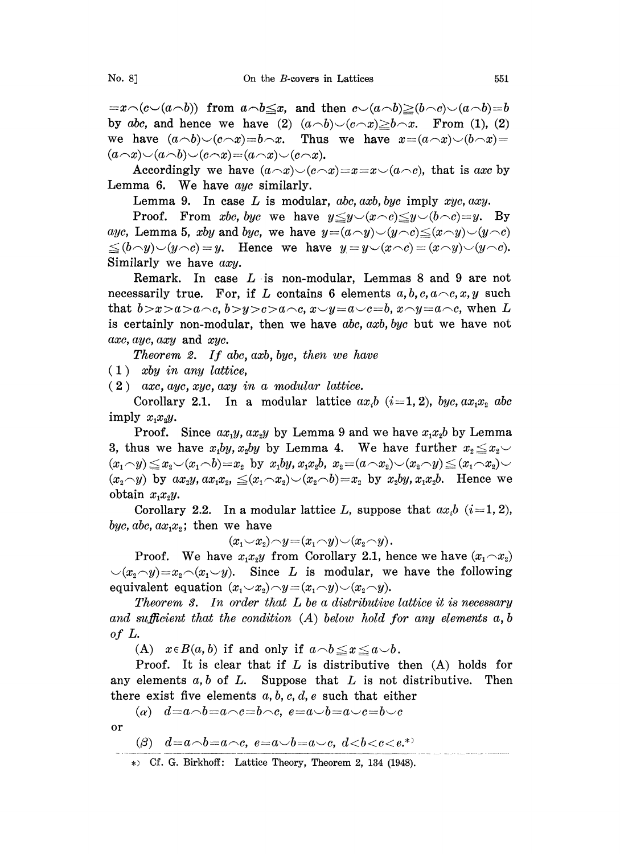$\begin{array}{rcl}\n\mathbf{1} & =x\mathbf{1} & (c\mathbf{1} & (a\mathbf{1} & b) \\
\mathbf{1} & \mathbf{1} & (b\mathbf{1} & (a\mathbf{1} & b\mathbf{1})\n\end{array}$ by abc, and hence we have (2)  $(a \neg b) \neg (c \neg x) \geq b \neg x$ . From (1), (2)<br>we have  $(a \neg b) \neg (c \neg x) = b \neg x$ . Thus we have  $x = (a \neg x) \neg (b \neg x) =$ we have  $(a \neg b) \neg (c \neg x) = b \neg x$ .  $(a\wedge x)\smile(a\wedge b)\smile(c\wedge x)=(a\wedge x)\smile(c\wedge x).$ 

Accordingly we have  $(a \neg x) \neg (c \neg x) = x = x \neg (a \neg c)$ , that is axe by Lemma 6. We have ayc similarly.

Lemma 9. In case  $L$  is modular, abc, axb, byc imply xyc, axy.

Proof. From xbc, byc we have  $y \leq y \lt (x \wedge c) \leq y \lt (b \wedge c)=y$ . By ayc, Lemma 5, xby and byc, we have  $y=(a\wedge y)\vee(y\wedge c)\leq(x\wedge y)\vee(y\wedge c)$  $\leq (b \neg y)\vee (y \neg c) = y$ . Hence we have  $y = y\vee (x \neg c) = (x \neg y)\vee (y \neg c)$ . Similarly we have axy.

Remark. In case  $L$  is non-modular, Lemmas 8 and 9 are not necessarily true. For, if L contains 6 elements  $a, b, c, a \neg c, x, y$  such that  $b > x > a > a \rightharpoonup c$ ,  $b > y > c > a \rightharpoonup c$ ,  $x \rightharpoonup y = a \rightharpoonup c = a \rightharpoonup c$ , when L is certainly non-modular, then we have  $abc$ ,  $axb$ ,  $byc$  but we have not axe, ayc, axy and xyc.

Theorem 2. If abe, axb, bye, then we have

 $(1)$  xby in any lattice,

 $(2)$  axc, ayc, xyc, axy in a modular lattice.

Corollary 2.1. In a modular lattice  $ax_i b$   $(i=1, 2)$ , byc,  $ax_1x_2$  abc imply  $x_1x_2y$ .

Proof. Since  $ax_1y, ax_2y$  by Lemma 9 and we have  $x_1x_2b$  by Lemma 3, thus we have  $x_1by, x_2by$  by Lemma 4. We have further  $x_2 \le x_2$  $(x_1 \cap y) \le x_2 \cup (x_1 \cap b) = x_2$  by  $x_1by, x_1x_2b, x_2 = (a \cap x_2) \cup (x_2 \cap y) \le (x_1 \cap x_2) \cup$  $(x_2 \neg y)$  by  $ax_2y, ax_1x_2, \leq (x_1 \neg x_2) \vee (x_2 \neg b) = x_2$  by  $x_2by, x_1x_2b$ . Hence we obtain  $x_1x_2y$ .

Corollary 2.2. In a modular lattice L, suppose that  $ax_i b$   $(i=1, 2)$ , byc, abc,  $ax_1x_2$ ; then we have

$$
(x_1 \smile x_2) \neg y = (x_1 \neg y) \smile (x_2 \neg y).
$$

Proof. We have  $x_1x_2y$  from Corollary 2.1, hence we have  $(x_1 \ncap x_2)$  $\bigcup (x_i \cap y) = x_i \cap (x_i \cup y)$ . Since L is modular, we have the following equivalent equation  $(x_1 \smile x_2) \neg y = (x_1 \neg y) \smile (x_2 \neg y)$ .

Theorem  $\mathscr X$ . In order that  $L$  be a distributive lattice it is necessary and sufficient that the condition  $(A)$  below hold for any elements  $a, b$ of L.

(A)  $x \in B(a, b)$  if and only if  $a \neg b \leq x \leq a \neg b$ .

Proof. It is clear that if  $L$  is distributive then  $(A)$  holds for any elements  $a, b$  of  $L$ . Suppose that  $L$  is not distributive. Then there exist five elements  $a, b, c, d, e$  such that either

(a)  $d=a\wedge b=a\wedge c=b\wedge c, e=a\vee b=a\vee c=b\vee c$ 

or

$$
\text{(}\beta \text{)} \quad d = a \land b = a \land c, \ e = a \lor b = a \lor c, \ d < b < c < e.^\ast \text{)}
$$

 $\ast$  Cf. G. Birkhoff: Lattice Theory, Theorem 2, 134 (1948).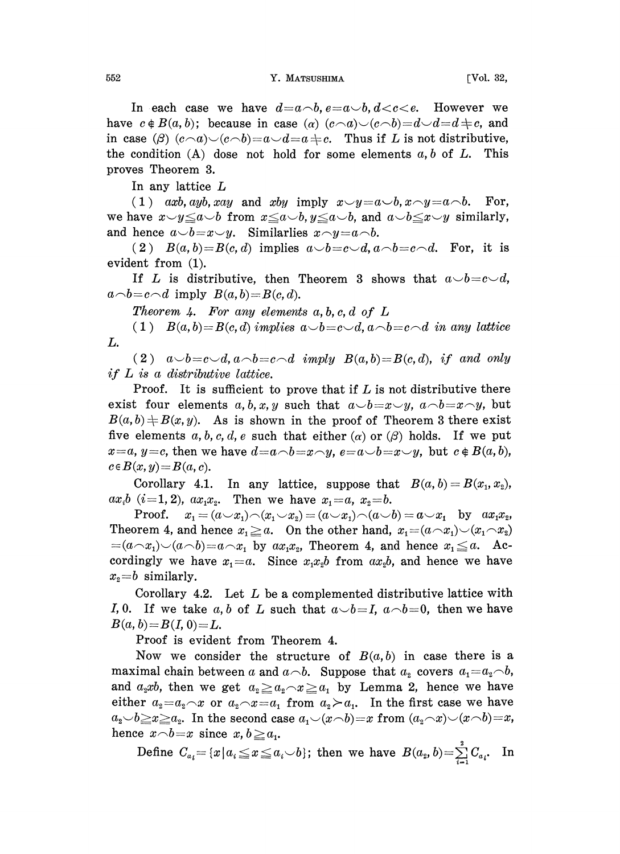In each case we have  $d=a\neg b, e=a\neg b, d. However we$ have  $c \notin B(a, b)$ ; because in case (a)  $(c \neg a) \neg (c \neg b) = d \neg d = d \pm c$ , and in case ( $\beta$ )  $(c\wedge a)\vee (c\wedge b)=a\vee d=a\neq c$ . Thus if L is not distributive, the condition  $(A)$  dose not hold for some elements  $a, b$  of  $L$ . This proves Theorem 3.

In any lattice L

(1) axb, ayb, xay and xby imply  $x \rightarrow y=a\rightarrow b$ ,  $x \rightarrow y=a\rightarrow b$ . For, we have  $x \rightarrow y \leq a \rightarrow b$  from  $x \leq a \rightarrow b$ ,  $y \leq a \rightarrow b$ , and  $a \rightarrow b \leq x \rightarrow y$  similarly, and hence  $a\smile b = x\smile y$ . Similarlies  $x\smile y = a\smile b$ .

(2)  $B(a, b)=B(c, d)$  implies  $a\smile b=c\smile d, a\smile b=c\smile d$ . For, it is evident from (1).

If L is distributive, then Theorem 3 shows that  $a\smile b=c\smile d$ ,  $a \neg b = c \neg d$  imply  $B(a, b) = B(c, d)$ .

Theorem 4. For any elements  $a, b, c, d$  of  $L$ 

(1)  $B(a, b)=B(c, d)$  implies  $a\smile b=c\smile d, a\smile b=c\smile d$  in any lattice L.

(2)  $a\smile b=c\smile d, a\smile b=c\smile d$  imply  $B(a, b)=B(c, d),$  if and only if L is <sup>a</sup> distributive lattice.

Proof. It is sufficient to prove that if  $L$  is not distributive there exist four elements a, b, x, y such that  $a \neg b = x \neg y$ ,  $a \neg b = x \neg y$ , but  $B(a, b) \neq B(x, y)$ . As is shown in the proof of Theorem 3 there exist  $\neq B(x, y)$ . As is shown in the proof of Theorem 3 there exist<br>ements a, b, c, d, e such that either (a) or ( $\beta$ ) holds. If we put<br> $c=c$ , then we have  $d=a\rightarrow b=x\rightarrow y$ ,  $e=a\rightarrow b=x\rightarrow y$ , but  $c \notin B(a, b)$ ,<br> $y)=B(a, c)$ . five elements  $a, b, c, d, e$  such that either  $(\alpha)$  or  $(\beta)$  holds. If we put  $x=a, y=c$ , then we have  $d=a\wedge b=x\wedge y$ ,  $e-a\wedge b=x\wedge y$ , but  $c \notin B(a, b)$ ,  $c \in B(x, y) = B(a, c).$ 

Corollary 4.1. In any lattice, suppose that  $B(a, b) = B(x_1, x_2)$ ,  $ax_i b$  (*i*=1, 2),  $ax_1x_2$ . Then we have  $x_1 = a, x_2 = b$ .

**Proof.**  $x_1 = (a \smile x_1) \wedge (x_1 \smile x_2) = (a \smile x_1) \wedge (a \smile b) = a \smile x_1$  by  $ax_1x_2$ , Theorem 4, and hence  $x_1 \ge a$ . On the other hand,  $x_1 = (a \wedge x_1) \vee (x_1 \wedge x_2)$  $=(a\wedge x_1)\vee(a\wedge b)=a\wedge x_1$  by  $ax_1x_2$ , Theorem 4, and hence  $x_1\leq a$ . Accordingly we have  $x_1=a$ . Since  $x_1x_2b$  from  $ax_2b$ , and hence we have  $x_2 = b$  similarly.

Corollary 4.2. Let L be a complemented distributive lattice with *I*, 0. If we take a, b of L such that  $a\smile b=I$ ,  $a\smile b=0$ , then we have  $B(a, b)=B(I, 0)=L.$ 

Proof is evident from Theorem 4.

Now we consider the structure of  $B(a, b)$  in case there is a maximal chain between a and  $a \wedge b$ . Suppose that  $a_2$  covers  $a_1 = a_2 \wedge b$ , and  $a_2xb$ , then we get  $a_2 \ge a_2 \sim x \ge a_1$  by Lemma 2, hence we have either  $a_2 = a_2 \wedge x$  or  $a_2 \wedge x = a_1$  from  $a_2 \succ a_1$ . In the first case we have  $a_2 \rightarrow b \geq x \geq a_2$ . In the second case  $a_1 \rightarrow (x \rightarrow b)=x$  from  $(a_2 \rightarrow x) \rightarrow (x \rightarrow b)=x$ , hence  $x \neg b = x$  since  $x, b \ge a_1$ .

Define  $C_{a_i} = \{x \mid a_i \leq x \leq a_i \cup b\}$ ; then we have  $B(a_2, b) = \sum_{i=1}^{s} C_{a_i}$ . In